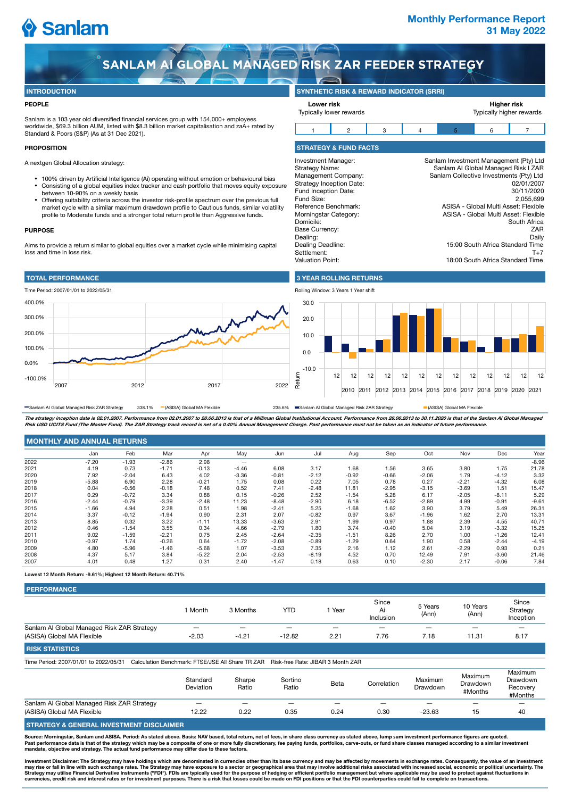# Sanlam

# **Monthly Performance Report 31 May 2022**

SANLAM AI GLOBAL MANAGED RISK ZAR FEEDER STRATEGY

### **INTRODUCTION**

### **PEOPLE**

Sanlam is a 103 year old diversified financial services group with 154,000+ employees worldwide, \$69.3 billion AUM, listed with \$8.3 billion market capitalisation and zaA+ rated by Standard & Poors (S&P) (As at 31 Dec 2021).

### **PROPOSITION**

A nextgen Global Allocation strategy:

- $\bullet$  $\ddot{\phantom{a}}$ 100% driven by Artificial Intelligence (Ai) operating without emotion or behavioural bias Consisting of a global equities index tracker and cash portfolio that moves equity exposure between 10-90% on a weekly basis
- $\bullet$ Offering suitability criteria across the investor risk-profile spectrum over the previous full market cycle with a similar maximum drawdown profile to Cautious funds, similar volatility profile to Moderate funds and a stronger total return profile than Aggressive funds.

#### **PURPOSE**

Aims to provide a return similar to global equities over a market cycle while minimising capital loss and time in loss risk.







**SYNTHETIC RISK & REWARD INDICATOR (SRRI)**

**3 YEAR ROLLING RETURNS**

18:00 South Africa Standard Time



The strategy inception date is 02.01.2007. Performance from 02.01.2007 to 28.06.2013 is that of a Milliman Global Institutional Account. Performance from 28.06.2013 to 30.11.2020 is that of the Sanlam Ai Global Managed<br>Ris **Risk USD UCITS Fund (The Master Fund). The ZAR Strategy track record is net of a 0.40% Annual Management Charge. Past performance must not be taken as an indicator of future performance.** Sanlam AI Global Managed Risk ZAR Strategy 338.1% (ASISA) Global MA Flexible 235.6% Sanlam AI Global Managed Risk ZAR Strategy CASISA) Global MA Flexible

| <b>MONTHLY AND ANNUAL RETURNS</b> |  |
|-----------------------------------|--|
|                                   |  |

|      | Jan     | Feb     | Mar     | Apr     | May                            | Jun     | Jul     | Aug     | Sep     | Oct     | Nov     | Dec     | Year    |
|------|---------|---------|---------|---------|--------------------------------|---------|---------|---------|---------|---------|---------|---------|---------|
| 2022 | $-7.20$ | $-1.93$ | $-2.86$ | 2.98    | $\qquad \qquad \longleftarrow$ |         |         |         |         |         |         |         | $-8.96$ |
| 2021 | 4.19    | 0.73    | $-1.71$ | $-0.13$ | $-4.46$                        | 6.08    | 3.17    | 1.68    | 1.56    | 3.65    | 3.80    | 1.75    | 21.78   |
| 2020 | 7.92    | $-2.04$ | 6.43    | 4.02    | $-3.36$                        | $-0.81$ | $-2.12$ | $-0.92$ | $-0.66$ | $-2.06$ | 1.79    | $-4.12$ | 3.32    |
| 2019 | $-5.88$ | 6.90    | 2.28    | $-0.21$ | 1.75                           | 0.08    | 0.22    | 7.05    | 0.78    | 0.27    | $-2.21$ | $-4.32$ | 6.08    |
| 2018 | 0.04    | $-0.56$ | $-0.18$ | 7.48    | 0.52                           | 7.41    | $-2.48$ | 11.81   | $-2.95$ | $-3.15$ | $-3.69$ | 1.51    | 15.47   |
| 2017 | 0.29    | $-0.72$ | 3.34    | 0.88    | 0.15                           | $-0.26$ | 2.52    | $-1.54$ | 5.28    | 6.17    | $-2.05$ | $-8.11$ | 5.29    |
| 2016 | $-2.44$ | $-0.79$ | $-3.39$ | $-2.48$ | 11.23                          | $-8.48$ | $-2.90$ | 6.18    | $-6.52$ | $-2.89$ | 4.99    | $-0.91$ | $-9.61$ |
| 2015 | $-1.66$ | 4.94    | 2.28    | 0.51    | 1.98                           | $-2.41$ | 5.25    | $-1.68$ | 1.62    | 3.90    | 3.79    | 5.49    | 26.31   |
| 2014 | 3.37    | $-0.12$ | $-1.94$ | 0.90    | 2.31                           | 2.07    | $-0.82$ | 0.97    | 3.67    | $-1.96$ | 1.62    | 2.70    | 13.31   |
| 2013 | 8.85    | 0.32    | 3.22    | $-1.11$ | 13.33                          | $-3.63$ | 2.91    | 1.99    | 0.97    | 1.88    | 2.39    | 4.55    | 40.71   |
| 2012 | 0.46    | $-1.54$ | 3.55    | 0.34    | 4.66                           | $-2.79$ | 1.80    | 3.74    | $-0.40$ | 5.04    | 3.19    | $-3.32$ | 15.25   |
| 2011 | 9.02    | $-1.59$ | $-2.21$ | 0.75    | 2.45                           | $-2.64$ | $-2.35$ | $-1.51$ | 8.26    | 2.70    | 1.00    | $-1.26$ | 12.41   |
| 2010 | $-0.97$ | 1.74    | $-0.26$ | 0.64    | $-1.72$                        | $-2.08$ | $-0.89$ | $-1.29$ | 0.64    | 1.90    | 0.58    | $-2.44$ | $-4.19$ |
| 2009 | 4.80    | $-5.96$ | $-1.46$ | $-5.68$ | 1.07                           | $-3.53$ | 7.35    | 2.16    | 1.12    | 2.61    | $-2.29$ | 0.93    | 0.21    |
| 2008 | 4.37    | 5.17    | 3.84    | $-5.22$ | 2.04                           | $-2.53$ | $-8.19$ | 4.52    | 0.70    | 12.49   | 7.91    | $-3.60$ | 21.46   |
| 2007 | 4.01    | 0.48    | 1.27    | 0.31    | 2.40                           | $-1.47$ | 0.18    | 0.63    | 0.10    | $-2.30$ | 2.17    | $-0.06$ | 7.84    |
|      |         |         |         |         |                                |         |         |         |         |         |         |         |         |

**Lowest 12 Month Return: -9.61%; Highest 12 Month Return: 40.71%**

| Month                    | 3 Months | YTD      | Year | Since<br>Ai<br>Inclusion | 5 Years<br>(Ann) | 10 Years<br>(Ann) | Since<br>Strategy<br>Inception |
|--------------------------|----------|----------|------|--------------------------|------------------|-------------------|--------------------------------|
| $\overline{\phantom{0}}$ | -        |          |      | $\overline{\phantom{0}}$ |                  |                   |                                |
| $-2.03$                  | $-4.21$  | $-12.82$ | 2.21 | 7.76                     | 7.18             | 11.31             | 8.17                           |
|                          |          |          |      |                          |                  |                   |                                |

**RISK STATISTICS**

Time Period: 2007/01/01 to 2022/05/31 Calculation Benchmark: FTSE/JSE All Share TR ZAR Risk-free Rate: JIBAR 3 Month ZAR

|                                            | Standard<br>Deviation | Sharpe<br>Ratio | Sortino<br>Ratio | Beta | Correlation | Maximum<br>Drawdown | Maximum<br>Drawdown<br>#Months | Maximum<br>Drawdown<br>Recovery<br>#Months |
|--------------------------------------------|-----------------------|-----------------|------------------|------|-------------|---------------------|--------------------------------|--------------------------------------------|
| Sanlam AI Global Managed Risk ZAR Strategy | _                     |                 | _                |      | _           |                     |                                | _                                          |
| (ASISA) Global MA Flexible                 | 12.22                 | 0.22            | 0.35             | 0.24 | 0.30        | $-23.63$            | 15                             | 40                                         |
|                                            |                       |                 |                  |      |             |                     |                                |                                            |

**STRATEGY & GENERAL INVESTMENT DISCLAIMER**

Source: Morningstar, Sanlam and ASISA. Period: As stated above. Basis: NAV based, total return, net of fees, in share class currency as stated above, lump sum investment performance figures are quoted.<br>Past performance dat **mandate, objective and strategy. The actual fund performance may differ due to these factors.** 

lnvestment Disclaimer. The Strategy may have holdings which are denominated in currencies other than its base currency and may be affected by movements in exchange rates. Consequently, the value of an investment<br>may rise o